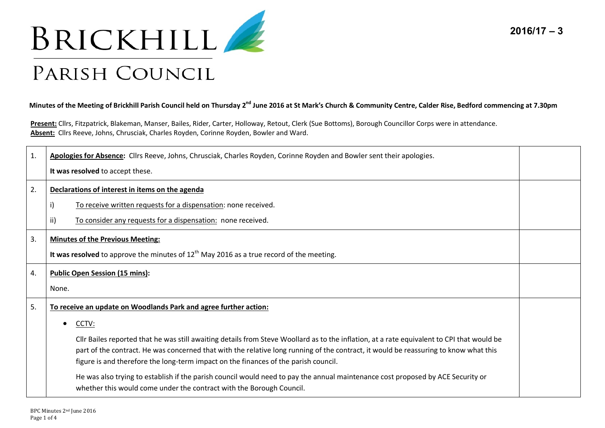



### Minutes of the Meeting of Brickhill Parish Council held on Thursday 2<sup>nd</sup> June 2016 at St Mark's Church & Community Centre, Calder Rise, Bedford commencing at 7.30pm

**Present:** Cllrs, Fitzpatrick, Blakeman, Manser, Bailes, Rider, Carter, Holloway, Retout, Clerk (Sue Bottoms), Borough Councillor Corps were in attendance. **Absent:** Cllrs Reeve, Johns, Chrusciak, Charles Royden, Corinne Royden, Bowler and Ward.

| 1. | Apologies for Absence: Cllrs Reeve, Johns, Chrusciak, Charles Royden, Corinne Royden and Bowler sent their apologies.                      |  |
|----|--------------------------------------------------------------------------------------------------------------------------------------------|--|
|    | It was resolved to accept these.                                                                                                           |  |
| 2. | Declarations of interest in items on the agenda                                                                                            |  |
|    | To receive written requests for a dispensation: none received.                                                                             |  |
|    | ii)<br>To consider any requests for a dispensation: none received.                                                                         |  |
| 3. | <b>Minutes of the Previous Meeting:</b>                                                                                                    |  |
|    | It was resolved to approve the minutes of $12th$ May 2016 as a true record of the meeting.                                                 |  |
| 4. | <b>Public Open Session (15 mins):</b>                                                                                                      |  |
|    | None.                                                                                                                                      |  |
| 5. | To receive an update on Woodlands Park and agree further action:                                                                           |  |
|    | CCTV:<br>$\bullet$                                                                                                                         |  |
|    | Cllr Bailes reported that he was still awaiting details from Steve Woollard as to the inflation, at a rate equivalent to CPI that would be |  |
|    | part of the contract. He was concerned that with the relative long running of the contract, it would be reassuring to know what this       |  |
|    | figure is and therefore the long-term impact on the finances of the parish council.                                                        |  |
|    | He was also trying to establish if the parish council would need to pay the annual maintenance cost proposed by ACE Security or            |  |
|    | whether this would come under the contract with the Borough Council.                                                                       |  |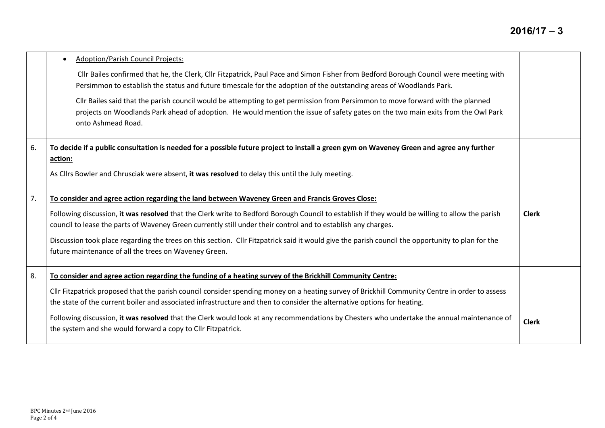# **2016/17 – 3**

|    | <b>Adoption/Parish Council Projects:</b><br>Cllr Bailes confirmed that he, the Clerk, Cllr Fitzpatrick, Paul Pace and Simon Fisher from Bedford Borough Council were meeting with<br>Persimmon to establish the status and future timescale for the adoption of the outstanding areas of Woodlands Park.<br>Cllr Bailes said that the parish council would be attempting to get permission from Persimmon to move forward with the planned<br>projects on Woodlands Park ahead of adoption. He would mention the issue of safety gates on the two main exits from the Owl Park<br>onto Ashmead Road. |              |
|----|------------------------------------------------------------------------------------------------------------------------------------------------------------------------------------------------------------------------------------------------------------------------------------------------------------------------------------------------------------------------------------------------------------------------------------------------------------------------------------------------------------------------------------------------------------------------------------------------------|--------------|
| 6. | To decide if a public consultation is needed for a possible future project to install a green gym on Waveney Green and agree any further<br>action:<br>As Cllrs Bowler and Chrusciak were absent, it was resolved to delay this until the July meeting.                                                                                                                                                                                                                                                                                                                                              |              |
| 7. | To consider and agree action regarding the land between Waveney Green and Francis Groves Close:<br>Following discussion, it was resolved that the Clerk write to Bedford Borough Council to establish if they would be willing to allow the parish<br>council to lease the parts of Waveney Green currently still under their control and to establish any charges.<br>Discussion took place regarding the trees on this section. Cllr Fitzpatrick said it would give the parish council the opportunity to plan for the<br>future maintenance of all the trees on Waveney Green.                    | <b>Clerk</b> |
| 8. | To consider and agree action regarding the funding of a heating survey of the Brickhill Community Centre:<br>Cllr Fitzpatrick proposed that the parish council consider spending money on a heating survey of Brickhill Community Centre in order to assess<br>the state of the current boiler and associated infrastructure and then to consider the alternative options for heating.<br>Following discussion, it was resolved that the Clerk would look at any recommendations by Chesters who undertake the annual maintenance of<br>the system and she would forward a copy to Cllr Fitzpatrick. | <b>Clerk</b> |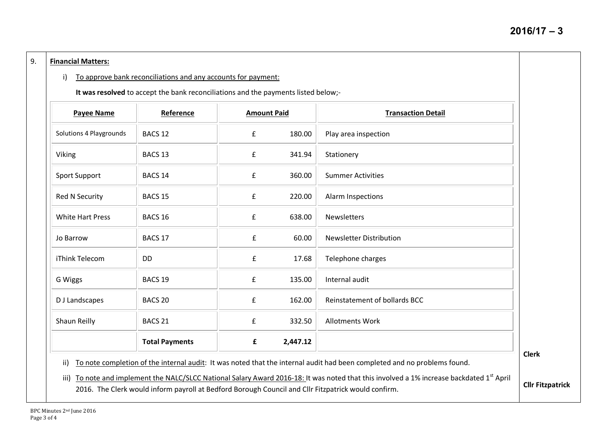#### 9. **Financial Matters:**

### i) To approve bank reconciliations and any accounts for payment:

**It was resolved** to accept the bank reconciliations and the payments listed below;-

| <b>Payee Name</b>       | Reference             | <b>Amount Paid</b> |          | <b>Transaction Detail</b>      |
|-------------------------|-----------------------|--------------------|----------|--------------------------------|
| Solutions 4 Playgrounds | BACS <sub>12</sub>    | £                  | 180.00   | Play area inspection           |
| Viking                  | BACS 13               | £                  | 341.94   | Stationery                     |
| Sport Support           | BACS 14               | f                  | 360.00   | <b>Summer Activities</b>       |
| Red N Security          | BACS <sub>15</sub>    | £                  | 220.00   | Alarm Inspections              |
| <b>White Hart Press</b> | BACS 16               | $\pmb{\mathsf{f}}$ | 638.00   | <b>Newsletters</b>             |
| Jo Barrow               | BACS 17               | $\pmb{\mathsf{f}}$ | 60.00    | <b>Newsletter Distribution</b> |
| iThink Telecom          | D <sub>D</sub>        | $\pmb{\mathsf{f}}$ | 17.68    | Telephone charges              |
| G Wiggs                 | BACS <sub>19</sub>    | $\pmb{\mathsf{f}}$ | 135.00   | Internal audit                 |
| D J Landscapes          | BACS <sub>20</sub>    | £                  | 162.00   | Reinstatement of bollards BCC  |
| Shaun Reilly            | BACS <sub>21</sub>    | $\mathbf f$        | 332.50   | <b>Allotments Work</b>         |
|                         | <b>Total Payments</b> | £                  | 2,447.12 |                                |

**Clerk**

**Cllr Fitzpatrick**

ii) To note completion of the internal audit: It was noted that the internal audit had been completed and no problems found.

iii) To note and implement the NALC/SLCC National Salary Award 2016-18: It was noted that this involved a 1% increase backdated 1<sup>st</sup> April 2016. The Clerk would inform payroll at Bedford Borough Council and Cllr Fitzpatrick would confirm.